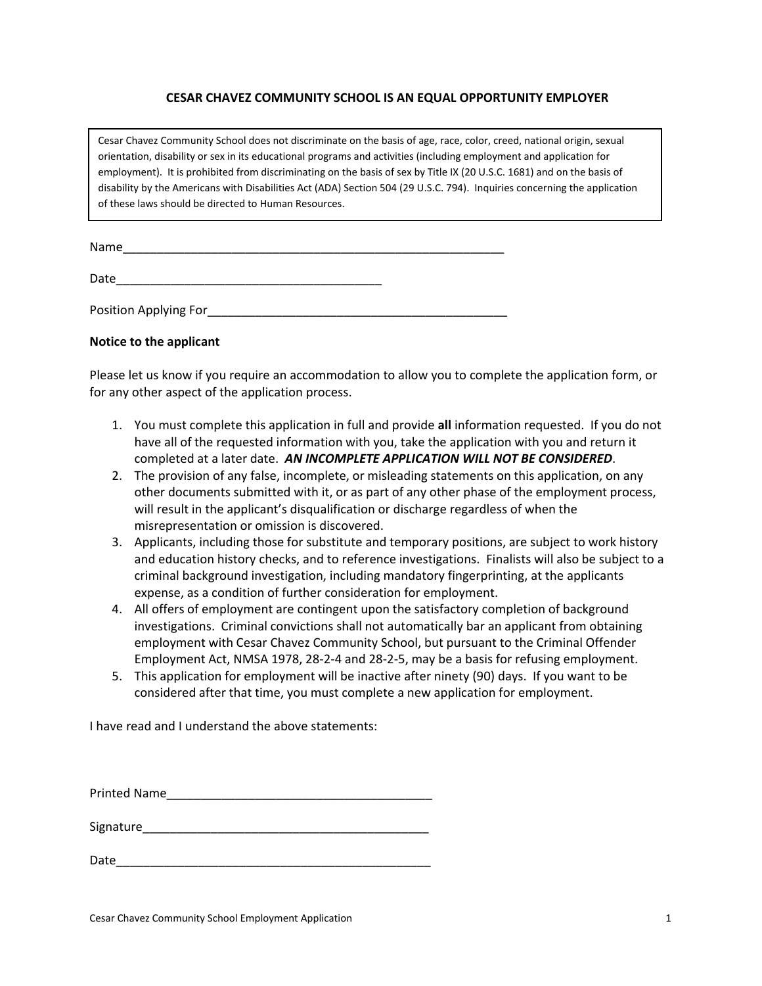### **CESAR CHAVEZ COMMUNITY SCHOOL IS AN EQUAL OPPORTUNITY EMPLOYER**

Cesar Chavez Community School does not discriminate on the basis of age, race, color, creed, national origin, sexual orientation, disability or sex in its educational programs and activities (including employment and application for employment). It is prohibited from discriminating on the basis of sex by Title IX (20 U.S.C. 1681) and on the basis of disability by the Americans with Disabilities Act (ADA) Section 504 (29 U.S.C. 794). Inquiries concerning the application of these laws should be directed to Human Resources.

| Name |  |  |
|------|--|--|
|      |  |  |

Date\_\_\_\_\_\_\_\_\_\_\_\_\_\_\_\_\_\_\_\_\_\_\_\_\_\_\_\_\_\_\_\_\_\_\_\_\_\_\_

Position Applying For **Example 20** 

### **Notice to the applicant**

Please let us know if you require an accommodation to allow you to complete the application form, or for any other aspect of the application process.

- 1. You must complete this application in full and provide **all** information requested. If you do not have all of the requested information with you, take the application with you and return it completed at a later date. *AN INCOMPLETE APPLICATION WILL NOT BE CONSIDERED*.
- 2. The provision of any false, incomplete, or misleading statements on this application, on any other documents submitted with it, or as part of any other phase of the employment process, will result in the applicant's disqualification or discharge regardless of when the misrepresentation or omission is discovered.
- 3. Applicants, including those for substitute and temporary positions, are subject to work history and education history checks, and to reference investigations. Finalists will also be subject to a criminal background investigation, including mandatory fingerprinting, at the applicants expense, as a condition of further consideration for employment.
- 4. All offers of employment are contingent upon the satisfactory completion of background investigations. Criminal convictions shall not automatically bar an applicant from obtaining employment with Cesar Chavez Community School, but pursuant to the Criminal Offender Employment Act, NMSA 1978, 28-2-4 and 28-2-5, may be a basis for refusing employment.
- 5. This application for employment will be inactive after ninety (90) days. If you want to be considered after that time, you must complete a new application for employment.

I have read and I understand the above statements:

Printed Name\_\_\_\_\_\_\_\_\_\_\_\_\_\_\_\_\_\_\_\_\_\_\_\_\_\_\_\_\_\_\_\_\_\_\_\_\_\_\_

Signature\_\_\_\_\_\_\_\_\_\_\_\_\_\_\_\_\_\_\_\_\_\_\_\_\_\_\_\_\_\_\_\_\_\_\_\_\_\_\_\_\_\_

Date\_\_\_\_\_\_\_\_\_\_\_\_\_\_\_\_\_\_\_\_\_\_\_\_\_\_\_\_\_\_\_\_\_\_\_\_\_\_\_\_\_\_\_\_\_\_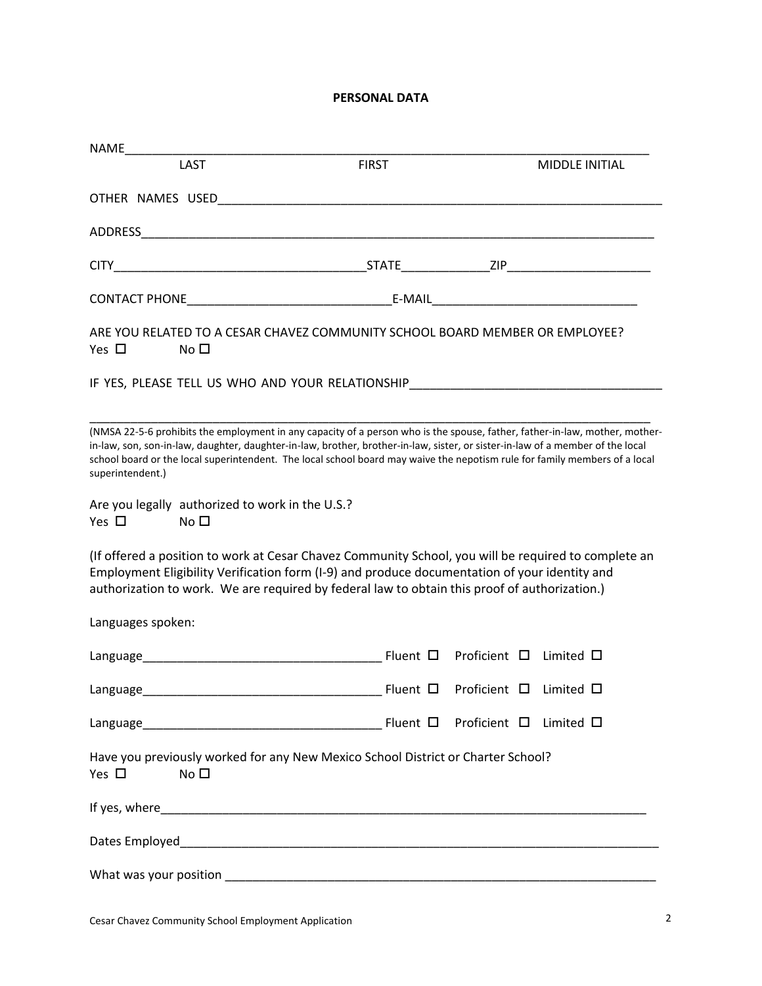# **PERSONAL DATA**

| NAME              |                 |                                                                                                                                                                                                                                                                                                                                                                                             |                        |                       |
|-------------------|-----------------|---------------------------------------------------------------------------------------------------------------------------------------------------------------------------------------------------------------------------------------------------------------------------------------------------------------------------------------------------------------------------------------------|------------------------|-----------------------|
|                   | <b>LAST</b>     | <b>FIRST</b>                                                                                                                                                                                                                                                                                                                                                                                |                        | <b>MIDDLE INITIAL</b> |
|                   |                 | OTHER NAMES USED And the contract of the contract of the contract of the contract of the contract of the contract of the contract of the contract of the contract of the contract of the contract of the contract of the contr                                                                                                                                                              |                        |                       |
|                   |                 |                                                                                                                                                                                                                                                                                                                                                                                             |                        |                       |
|                   |                 |                                                                                                                                                                                                                                                                                                                                                                                             |                        |                       |
|                   |                 |                                                                                                                                                                                                                                                                                                                                                                                             |                        |                       |
| Yes $\Box$        | No <sub>1</sub> | ARE YOU RELATED TO A CESAR CHAVEZ COMMUNITY SCHOOL BOARD MEMBER OR EMPLOYEE?                                                                                                                                                                                                                                                                                                                |                        |                       |
|                   |                 | IF YES, PLEASE TELL US WHO AND YOUR RELATIONSHIP                                                                                                                                                                                                                                                                                                                                            |                        |                       |
| superintendent.)  |                 | (NMSA 22-5-6 prohibits the employment in any capacity of a person who is the spouse, father, father-in-law, mother, mother-<br>in-law, son, son-in-law, daughter, daughter-in-law, brother, brother-in-law, sister, or sister-in-law of a member of the local<br>school board or the local superintendent. The local school board may waive the nepotism rule for family members of a local |                        |                       |
| Yes $\square$     | No <sub>1</sub> | Are you legally authorized to work in the U.S.?                                                                                                                                                                                                                                                                                                                                             |                        |                       |
|                   |                 | (If offered a position to work at Cesar Chavez Community School, you will be required to complete an<br>Employment Eligibility Verification form (I-9) and produce documentation of your identity and<br>authorization to work. We are required by federal law to obtain this proof of authorization.)                                                                                      |                        |                       |
| Languages spoken: |                 |                                                                                                                                                                                                                                                                                                                                                                                             |                        |                       |
|                   |                 |                                                                                                                                                                                                                                                                                                                                                                                             |                        |                       |
|                   |                 |                                                                                                                                                                                                                                                                                                                                                                                             |                        |                       |
|                   |                 |                                                                                                                                                                                                                                                                                                                                                                                             | Proficient □ Limited □ |                       |
| Yes $\Box$        | No <sub>1</sub> | Have you previously worked for any New Mexico School District or Charter School?                                                                                                                                                                                                                                                                                                            |                        |                       |
|                   |                 |                                                                                                                                                                                                                                                                                                                                                                                             |                        |                       |
|                   |                 |                                                                                                                                                                                                                                                                                                                                                                                             |                        |                       |
|                   |                 |                                                                                                                                                                                                                                                                                                                                                                                             |                        |                       |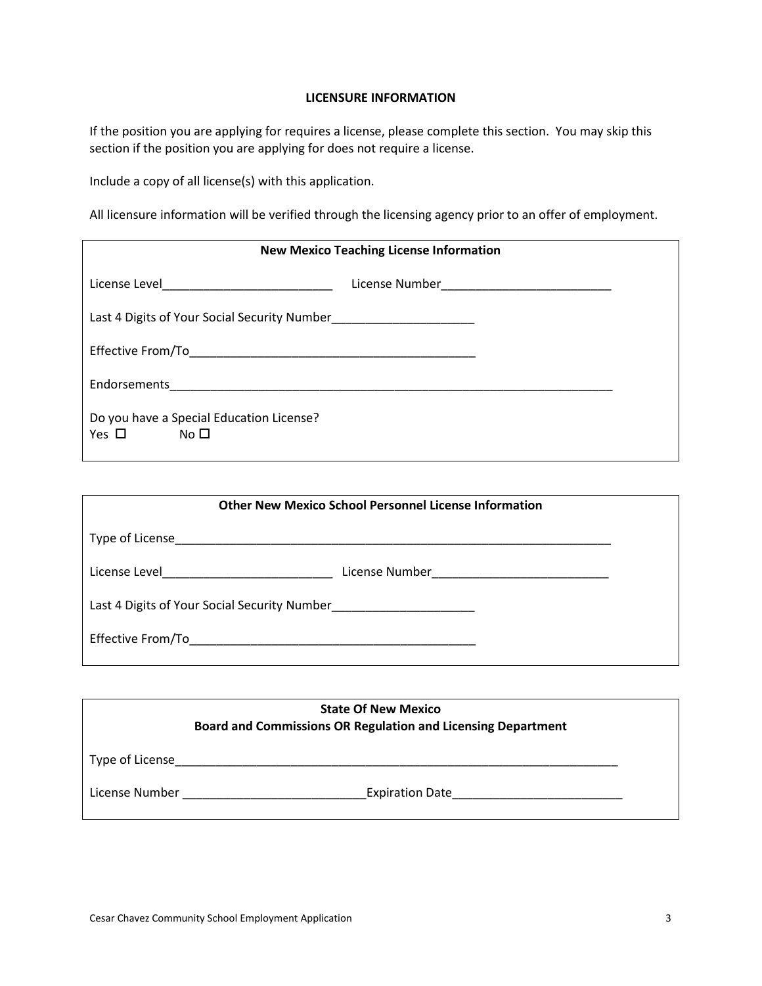#### **LICENSURE INFORMATION**

If the position you are applying for requires a license, please complete this section. You may skip this section if the position you are applying for does not require a license.

Include a copy of all license(s) with this application.

All licensure information will be verified through the licensing agency prior to an offer of employment.

| <b>New Mexico Teaching License Information</b>                                                                  |  |  |
|-----------------------------------------------------------------------------------------------------------------|--|--|
| License Level 2008 2009 2010 2020 2021 2022 2023 2024 2022 2022 2023 2024 2022 2023 2024 2022 2023 2024 2022 20 |  |  |
|                                                                                                                 |  |  |
|                                                                                                                 |  |  |
|                                                                                                                 |  |  |
| Do you have a Special Education License?<br>$Yes \Box$ No $\Box$                                                |  |  |

|                                   | <b>Other New Mexico School Personnel License Information</b> |  |
|-----------------------------------|--------------------------------------------------------------|--|
| Type of License                   |                                                              |  |
| License Level <b>Example 2014</b> | License Number <u>___________________________</u>            |  |
|                                   |                                                              |  |
| Effective From/To                 |                                                              |  |

|                 | <b>State Of New Mexico</b><br><b>Board and Commissions OR Regulation and Licensing Department</b> |
|-----------------|---------------------------------------------------------------------------------------------------|
| Type of License |                                                                                                   |
| License Number  | <b>Expiration Date</b>                                                                            |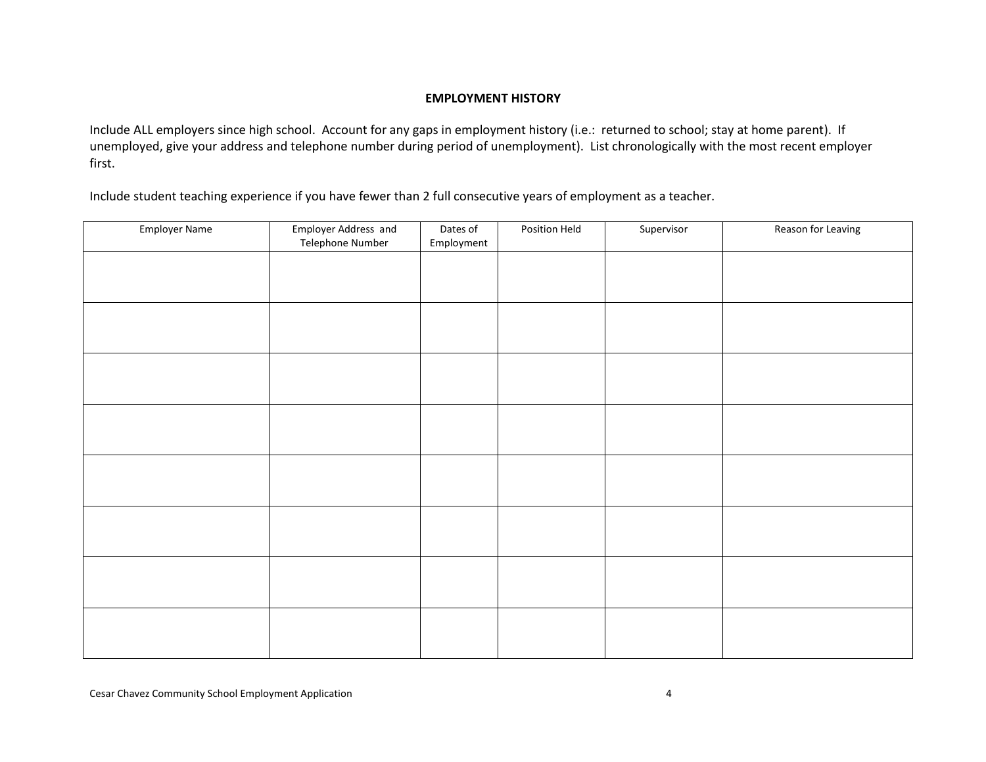#### **EMPLOYMENT HISTORY**

Include ALL employers since high school. Account for any gaps in employment history (i.e.: returned to school; stay at home parent). If unemployed, give your address and telephone number during period of unemployment). List chronologically with the most recent employer first.

Include student teaching experience if you have fewer than 2 full consecutive years of employment as a teacher.

| Employer Name | Employer Address and<br>Telephone Number | Dates of<br>Employment | Position Held | Supervisor | Reason for Leaving |
|---------------|------------------------------------------|------------------------|---------------|------------|--------------------|
|               |                                          |                        |               |            |                    |
|               |                                          |                        |               |            |                    |
|               |                                          |                        |               |            |                    |
|               |                                          |                        |               |            |                    |
|               |                                          |                        |               |            |                    |
|               |                                          |                        |               |            |                    |
|               |                                          |                        |               |            |                    |
|               |                                          |                        |               |            |                    |
|               |                                          |                        |               |            |                    |
|               |                                          |                        |               |            |                    |
|               |                                          |                        |               |            |                    |
|               |                                          |                        |               |            |                    |
|               |                                          |                        |               |            |                    |
|               |                                          |                        |               |            |                    |
|               |                                          |                        |               |            |                    |
|               |                                          |                        |               |            |                    |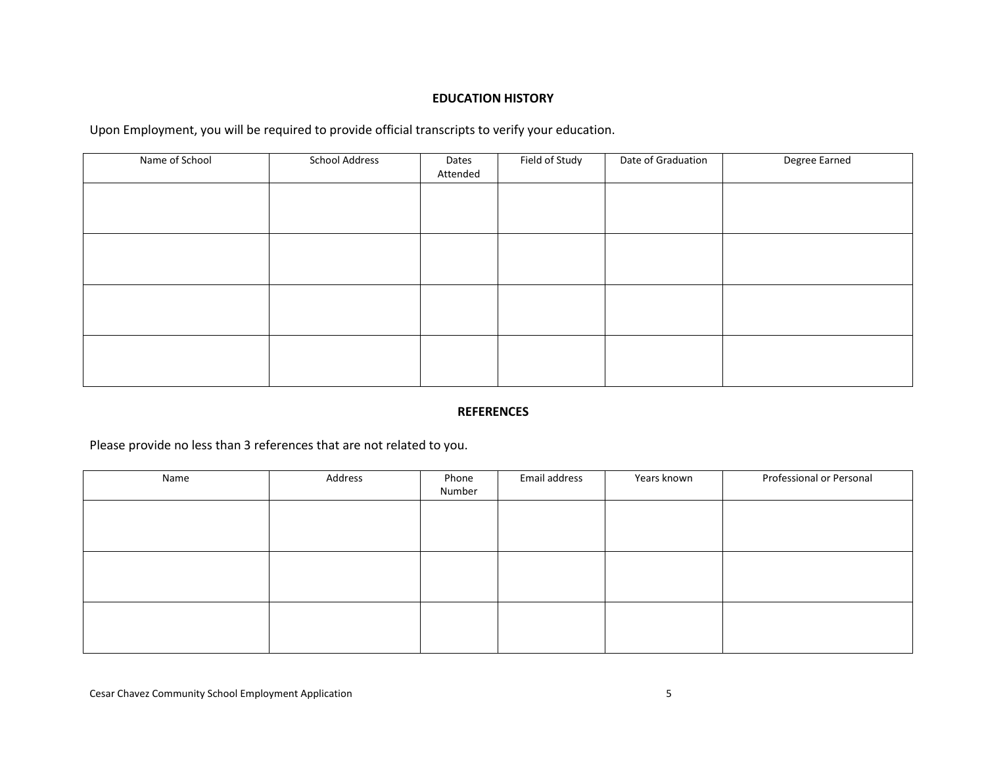## **EDUCATION HISTORY**

Upon Employment, you will be required to provide official transcripts to verify your education.

| Name of School | <b>School Address</b> | Dates<br>Attended | Field of Study | Date of Graduation | Degree Earned |
|----------------|-----------------------|-------------------|----------------|--------------------|---------------|
|                |                       |                   |                |                    |               |
|                |                       |                   |                |                    |               |
|                |                       |                   |                |                    |               |
|                |                       |                   |                |                    |               |
|                |                       |                   |                |                    |               |
|                |                       |                   |                |                    |               |
|                |                       |                   |                |                    |               |
|                |                       |                   |                |                    |               |

## **REFERENCES**

Please provide no less than 3 references that are not related to you.

| Name | Address | Phone<br>Number | Email address | Years known | Professional or Personal |
|------|---------|-----------------|---------------|-------------|--------------------------|
|      |         |                 |               |             |                          |
|      |         |                 |               |             |                          |
|      |         |                 |               |             |                          |
|      |         |                 |               |             |                          |
|      |         |                 |               |             |                          |
|      |         |                 |               |             |                          |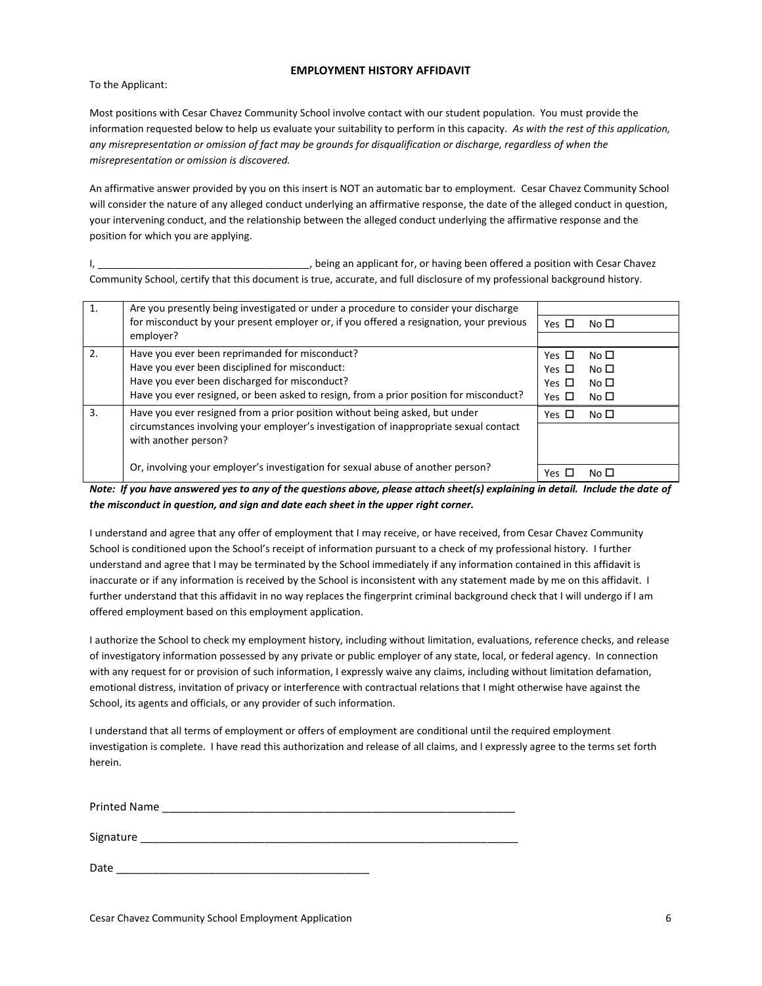#### **EMPLOYMENT HISTORY AFFIDAVIT**

To the Applicant:

Most positions with Cesar Chavez Community School involve contact with our student population. You must provide the information requested below to help us evaluate your suitability to perform in this capacity. *As with the rest of this application, any misrepresentation or omission of fact may be grounds for disqualification or discharge, regardless of when the misrepresentation or omission is discovered.* 

An affirmative answer provided by you on this insert is NOT an automatic bar to employment. Cesar Chavez Community School will consider the nature of any alleged conduct underlying an affirmative response, the date of the alleged conduct in question, your intervening conduct, and the relationship between the alleged conduct underlying the affirmative response and the position for which you are applying.

I, the controller the state of the state of the state of the state of the state of the state of the state of the state of the state of the state of the state of the state of the state of the state of the state of the state Community School, certify that this document is true, accurate, and full disclosure of my professional background history.

| $\mathbf{1}$ . | Are you presently being investigated or under a procedure to consider your discharge    |            |              |
|----------------|-----------------------------------------------------------------------------------------|------------|--------------|
|                | for misconduct by your present employer or, if you offered a resignation, your previous | Yes $\Box$ | No $\square$ |
|                | employer?                                                                               |            |              |
| 2.             | Have you ever been reprimanded for misconduct?                                          | Yes $\Box$ | No $\square$ |
|                | Have you ever been disciplined for misconduct:                                          | Yes $\Box$ | No $\square$ |
|                | Have you ever been discharged for misconduct?                                           | Yes $\Box$ | No $\square$ |
|                | Have you ever resigned, or been asked to resign, from a prior position for misconduct?  | Yes $\Box$ | No $\square$ |
| 3.             | Have you ever resigned from a prior position without being asked, but under             | Yes $\Box$ | No $\square$ |
|                | circumstances involving your employer's investigation of inappropriate sexual contact   |            |              |
|                | with another person?                                                                    |            |              |
|                |                                                                                         |            |              |
|                | Or, involving your employer's investigation for sexual abuse of another person?         | Yes □      | No $\Box$    |

*Note: If you have answered yes to any of the questions above, please attach sheet(s) explaining in detail. Include the date of the misconduct in question, and sign and date each sheet in the upper right corner.* 

I understand and agree that any offer of employment that I may receive, or have received, from Cesar Chavez Community School is conditioned upon the School's receipt of information pursuant to a check of my professional history. I further understand and agree that I may be terminated by the School immediately if any information contained in this affidavit is inaccurate or if any information is received by the School is inconsistent with any statement made by me on this affidavit. I further understand that this affidavit in no way replaces the fingerprint criminal background check that I will undergo if I am offered employment based on this employment application.

I authorize the School to check my employment history, including without limitation, evaluations, reference checks, and release of investigatory information possessed by any private or public employer of any state, local, or federal agency. In connection with any request for or provision of such information, I expressly waive any claims, including without limitation defamation, emotional distress, invitation of privacy or interference with contractual relations that I might otherwise have against the School, its agents and officials, or any provider of such information.

I understand that all terms of employment or offers of employment are conditional until the required employment investigation is complete. I have read this authorization and release of all claims, and I expressly agree to the terms set forth herein.

| <b>Printed Name</b> |  |
|---------------------|--|
|---------------------|--|

Signature

| Date |  |
|------|--|
|      |  |